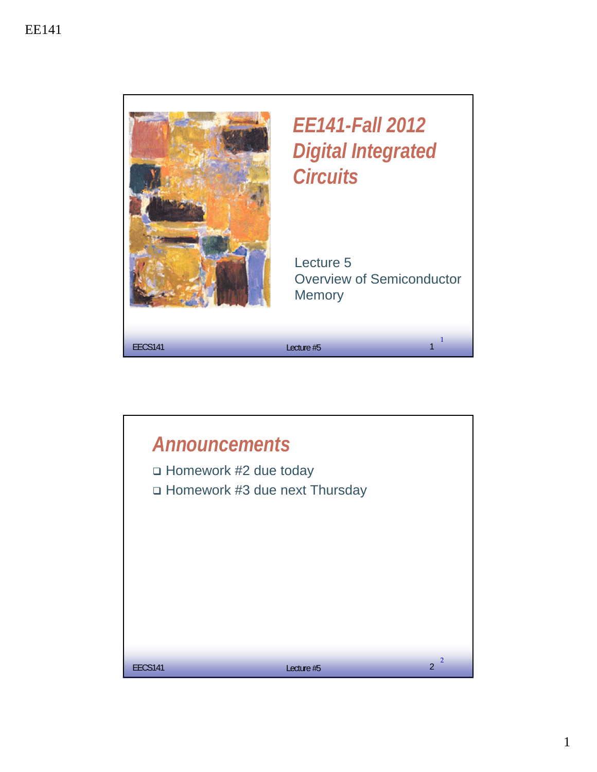

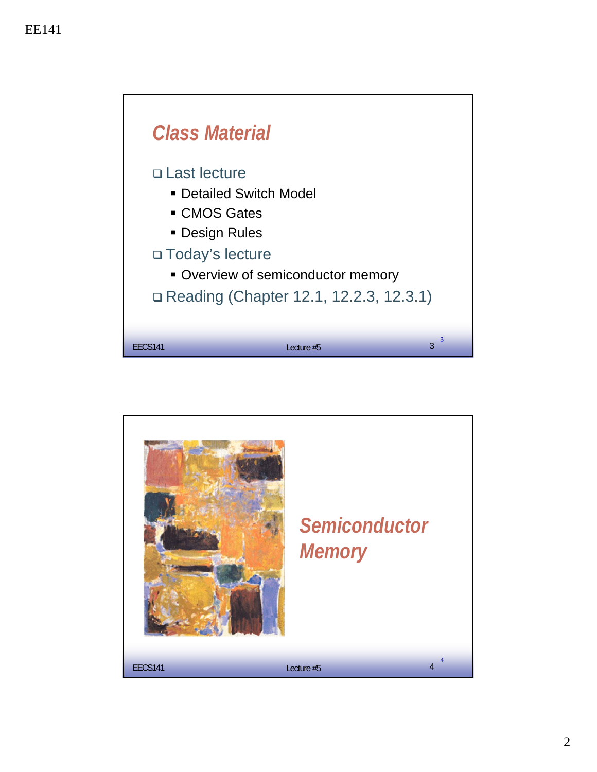

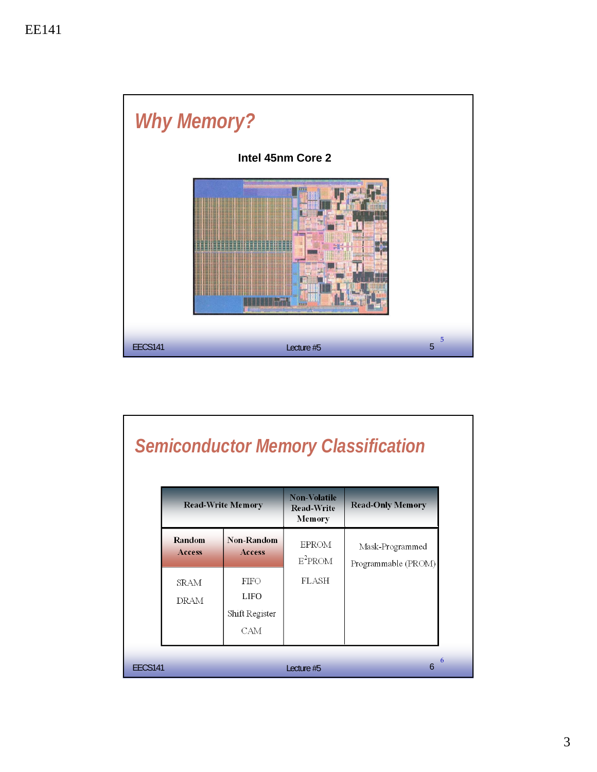

|                |                            |                                              |                                                    | <b>Semiconductor Memory Classification</b> |
|----------------|----------------------------|----------------------------------------------|----------------------------------------------------|--------------------------------------------|
|                | <b>Read-Write Memory</b>   |                                              | <b>Non-Volatile</b><br><b>Read-Write</b><br>Memory | <b>Read-Only Memory</b>                    |
|                | Random<br>Access           | Non-Random<br><b>Access</b>                  | <b>EPROM</b><br>$E^2$ PROM                         | Mask-Programmed<br>Programmable (PROM)     |
|                | <b>SRAM</b><br><b>DRAM</b> | FIFO<br><b>LIFO</b><br>Shift Register<br>CAM | <b>FLASH</b>                                       |                                            |
| <b>EECS141</b> |                            |                                              | Lecture #5                                         | $\overline{6}$                             |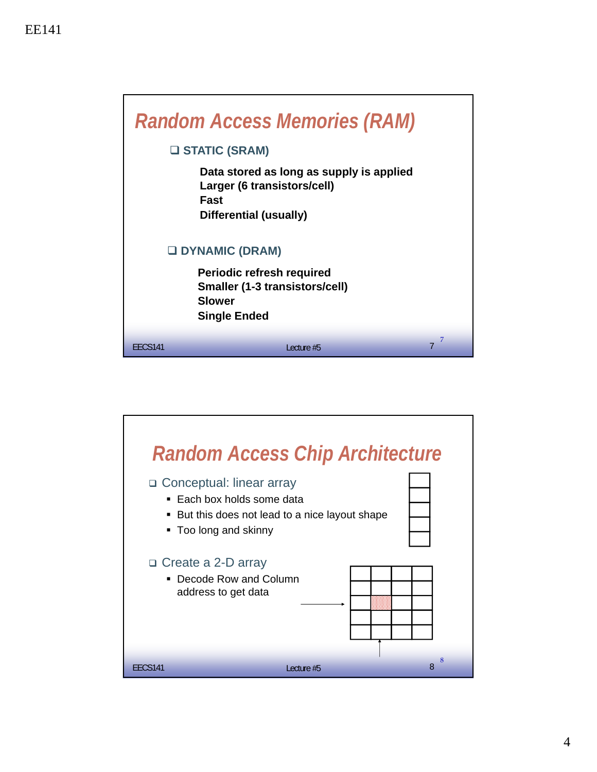|                | <b>Random Access Memories (RAM)</b><br><b>U STATIC (SRAM)</b>                                                                         |   |  |  |  |
|----------------|---------------------------------------------------------------------------------------------------------------------------------------|---|--|--|--|
|                | Data stored as long as supply is applied<br>Larger (6 transistors/cell)<br>Fast<br>Differential (usually)                             |   |  |  |  |
|                | <b>O DYNAMIC (DRAM)</b><br><b>Periodic refresh required</b><br>Smaller (1-3 transistors/cell)<br><b>Slower</b><br><b>Single Ended</b> |   |  |  |  |
| <b>FFCS141</b> | Lecture #5                                                                                                                            | 7 |  |  |  |

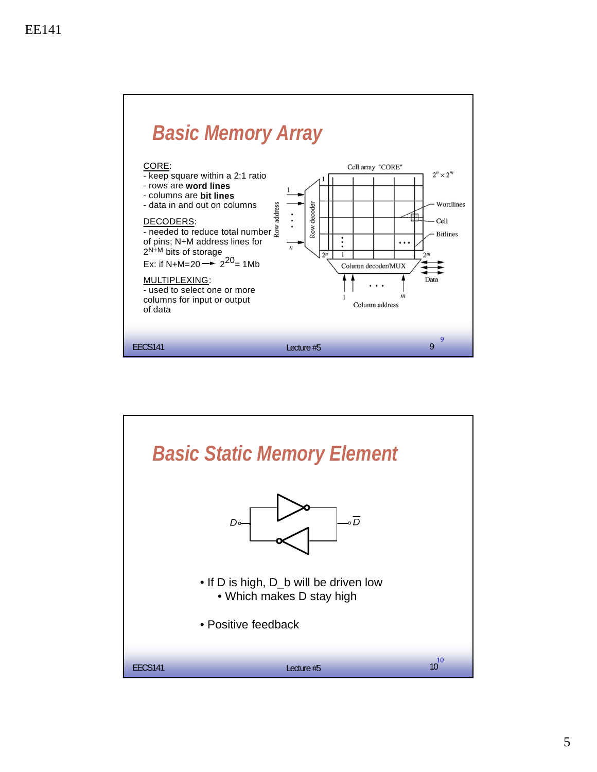

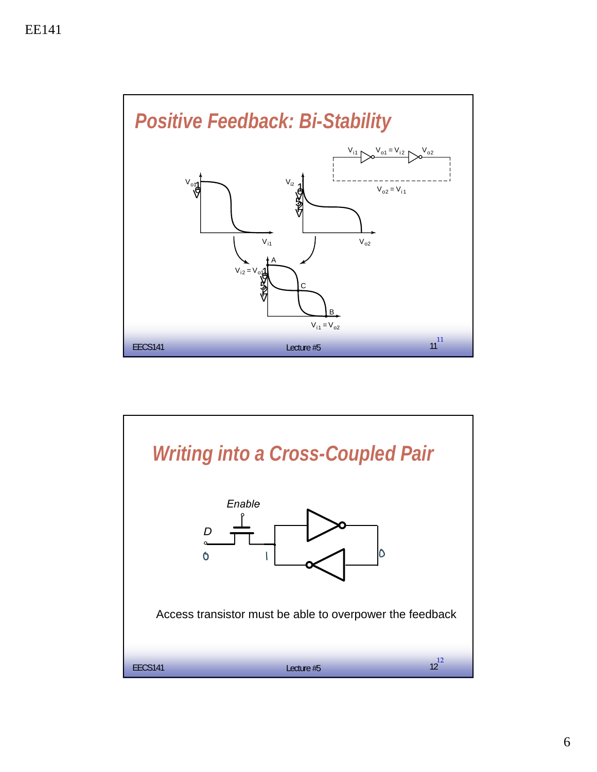

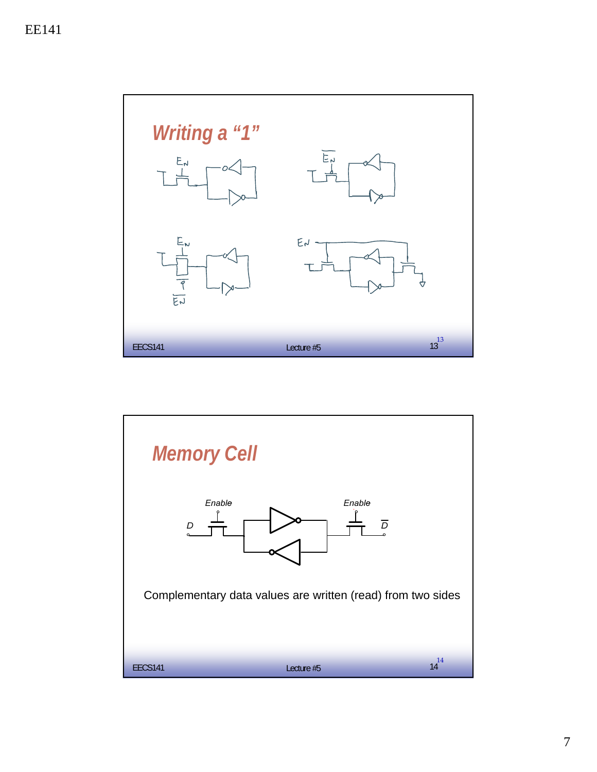

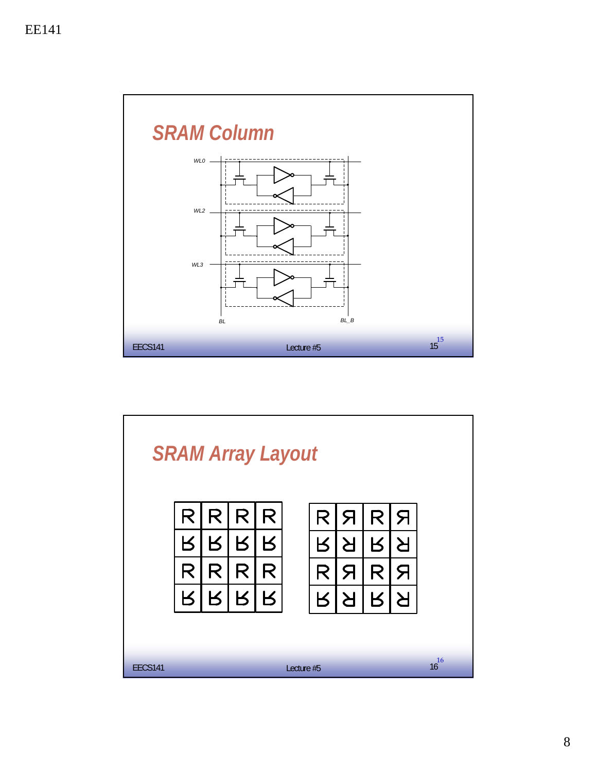

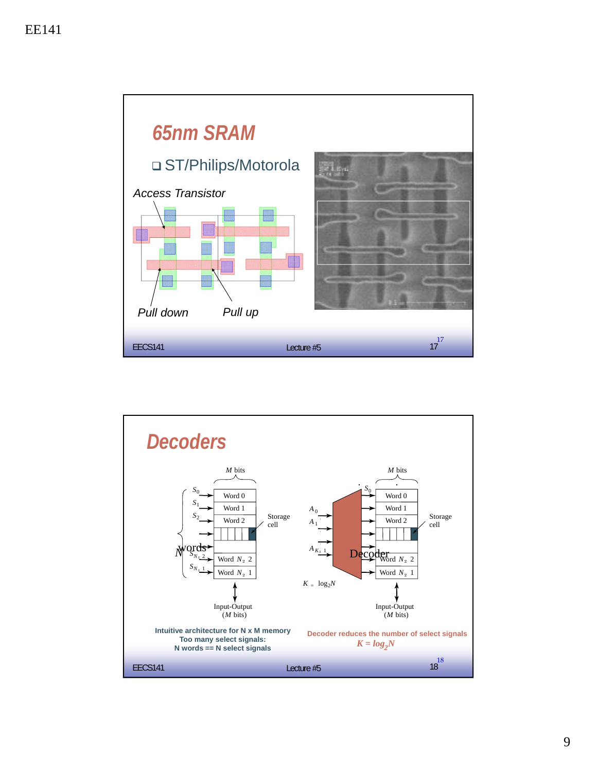

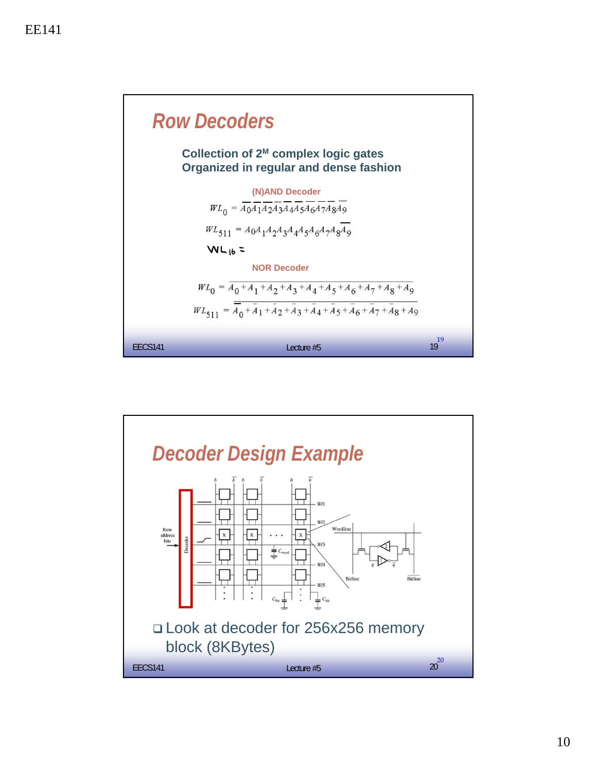

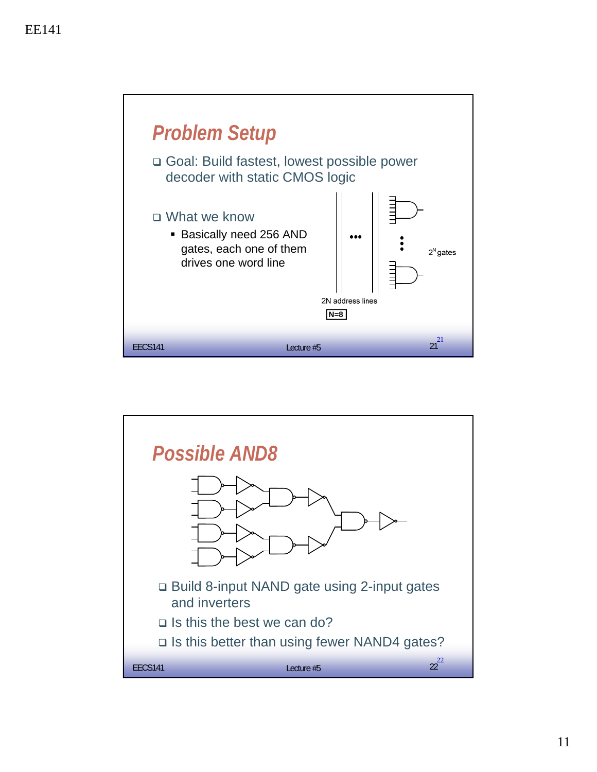